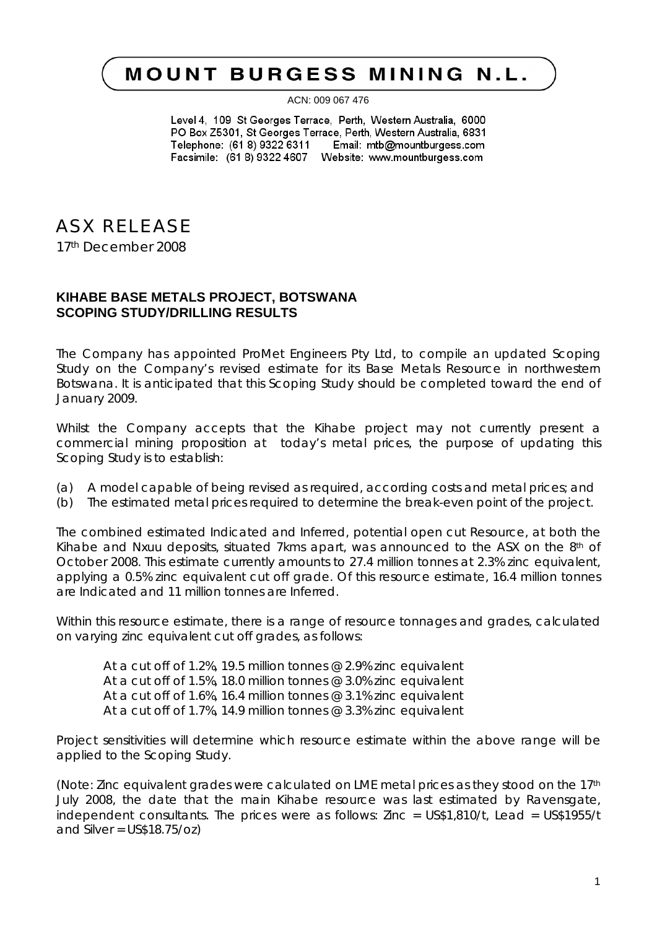## **MOUNT BURGESS MINING N.L.**

ACN: 009 067 476

Level 4, 109 St Georges Terrace, Perth, Western Australia, 6000 PO Box Z5301, St Georges Terrace, Perth, Western Australia, 6831 Telephone: (61 8) 9322 6311 Email: mtb@mountburgess.com 

## ASX RELEASE

17th December 2008

## **KIHABE BASE METALS PROJECT, BOTSWANA SCOPING STUDY/DRILLING RESULTS**

The Company has appointed ProMet Engineers Pty Ltd, to compile an updated Scoping Study on the Company's revised estimate for its Base Metals Resource in northwestern Botswana. It is anticipated that this Scoping Study should be completed toward the end of January 2009.

Whilst the Company accepts that the Kihabe project may not currently present a commercial mining proposition at today's metal prices, the purpose of updating this Scoping Study is to establish:

- (a) A model capable of being revised as required, according costs and metal prices; and
- (b) The estimated metal prices required to determine the break-even point of the project.

The combined estimated Indicated and Inferred, potential open cut Resource, at both the Kihabe and Nxuu deposits, situated 7kms apart, was announced to the ASX on the  $8<sup>th</sup>$  of October 2008. This estimate currently amounts to 27.4 million tonnes at 2.3% zinc equivalent, applying a 0.5% zinc equivalent cut off grade. Of this resource estimate, 16.4 million tonnes are Indicated and 11 million tonnes are Inferred.

Within this resource estimate, there is a range of resource tonnages and grades, calculated on varying zinc equivalent cut off grades, as follows:

At a cut off of 1.2%, 19.5 million tonnes @ 2.9% zinc equivalent At a cut off of 1.5%, 18.0 million tonnes @ 3.0% zinc equivalent At a cut off of 1.6%, 16.4 million tonnes @ 3.1% zinc equivalent At a cut off of 1.7%, 14.9 million tonnes @ 3.3% zinc equivalent

Project sensitivities will determine which resource estimate within the above range will be applied to the Scoping Study.

(Note: Zinc equivalent grades were calculated on LME metal prices as they stood on the 17th July 2008, the date that the main Kihabe resource was last estimated by Ravensgate, independent consultants. The prices were as follows: Zinc = US\$1,810/t, Lead = US\$1955/t and Silver =  $USS18.75$ / $OZ$